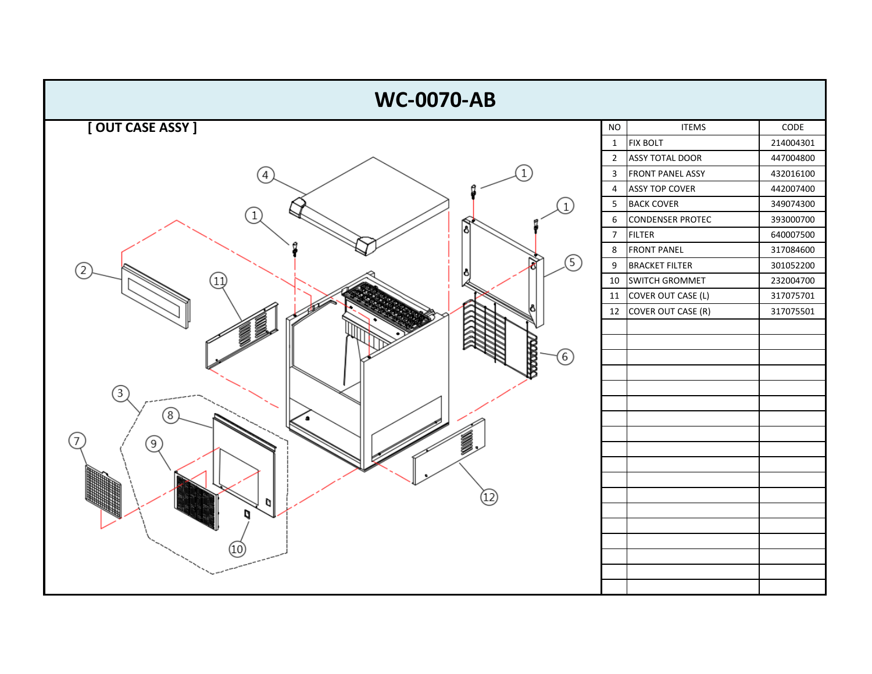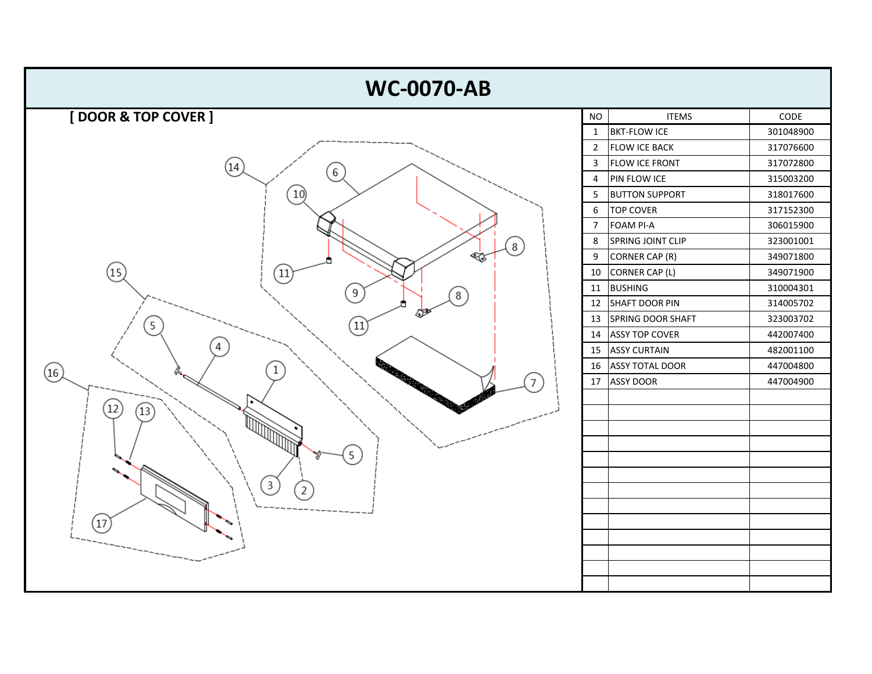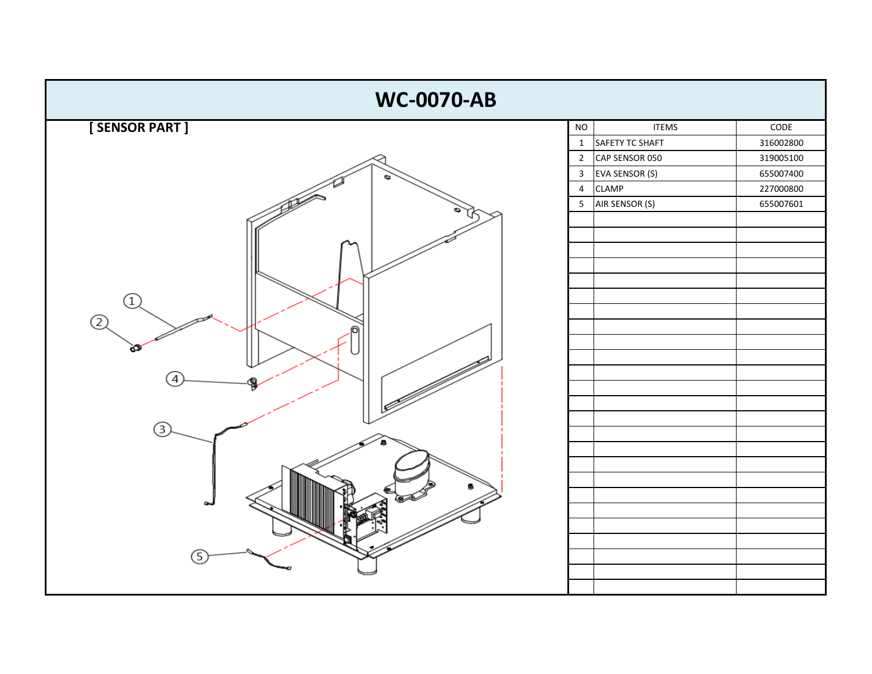![](_page_2_Figure_0.jpeg)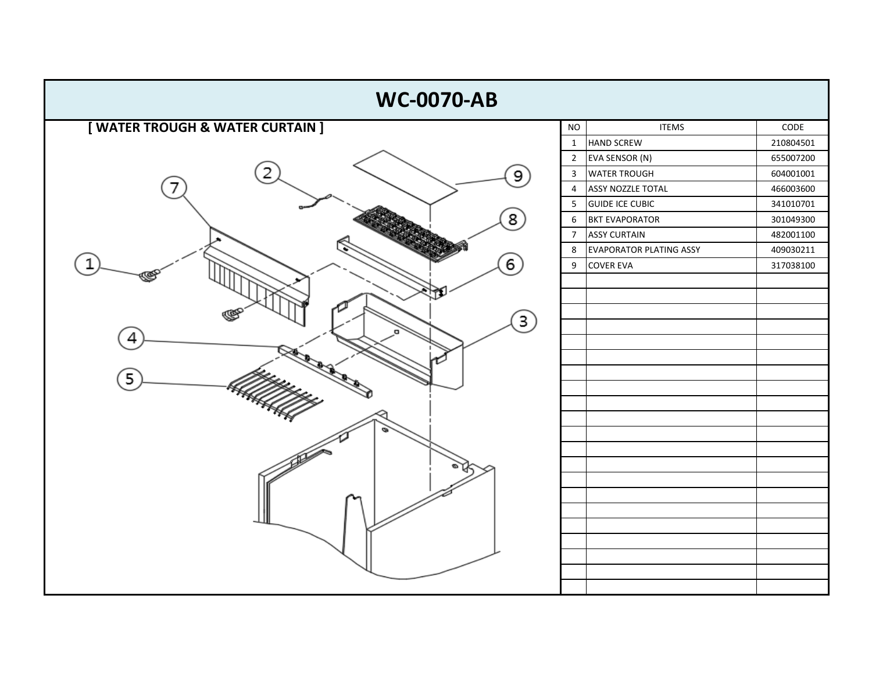| <b>WC-0070-AB</b>                |                                            |           |  |  |  |  |  |  |  |  |
|----------------------------------|--------------------------------------------|-----------|--|--|--|--|--|--|--|--|
| [ WATER TROUGH & WATER CURTAIN ] | <b>ITEMS</b><br>$\rm NO$                   | CODE      |  |  |  |  |  |  |  |  |
|                                  | <b>HAND SCREW</b><br>$\mathbf{1}$          | 210804501 |  |  |  |  |  |  |  |  |
|                                  | EVA SENSOR (N)<br>$\overline{2}$           | 655007200 |  |  |  |  |  |  |  |  |
| 9                                | <b>WATER TROUGH</b><br>$\mathbf{3}$        | 604001001 |  |  |  |  |  |  |  |  |
|                                  | <b>ASSY NOZZLE TOTAL</b><br>$\overline{4}$ | 466003600 |  |  |  |  |  |  |  |  |
|                                  | <b>GUIDE ICE CUBIC</b><br>5                | 341010701 |  |  |  |  |  |  |  |  |
| 8                                | <b>BKT EVAPORATOR</b><br>6                 | 301049300 |  |  |  |  |  |  |  |  |
|                                  | <b>ASSY CURTAIN</b><br>$\overline{7}$      | 482001100 |  |  |  |  |  |  |  |  |
|                                  | <b>EVAPORATOR PLATING ASSY</b><br>8        | 409030211 |  |  |  |  |  |  |  |  |
| $\left[6\right]$                 | 9<br><b>COVER EVA</b>                      | 317038100 |  |  |  |  |  |  |  |  |
|                                  |                                            |           |  |  |  |  |  |  |  |  |
|                                  |                                            |           |  |  |  |  |  |  |  |  |
| з                                |                                            |           |  |  |  |  |  |  |  |  |
|                                  |                                            |           |  |  |  |  |  |  |  |  |
| 4                                |                                            |           |  |  |  |  |  |  |  |  |
|                                  |                                            |           |  |  |  |  |  |  |  |  |
| 5                                |                                            |           |  |  |  |  |  |  |  |  |
|                                  |                                            |           |  |  |  |  |  |  |  |  |
|                                  |                                            |           |  |  |  |  |  |  |  |  |
|                                  |                                            |           |  |  |  |  |  |  |  |  |
|                                  |                                            |           |  |  |  |  |  |  |  |  |
|                                  |                                            |           |  |  |  |  |  |  |  |  |
|                                  |                                            |           |  |  |  |  |  |  |  |  |
|                                  |                                            |           |  |  |  |  |  |  |  |  |
|                                  |                                            |           |  |  |  |  |  |  |  |  |
|                                  |                                            |           |  |  |  |  |  |  |  |  |
|                                  |                                            |           |  |  |  |  |  |  |  |  |
|                                  |                                            |           |  |  |  |  |  |  |  |  |
|                                  |                                            |           |  |  |  |  |  |  |  |  |
|                                  |                                            |           |  |  |  |  |  |  |  |  |
|                                  |                                            |           |  |  |  |  |  |  |  |  |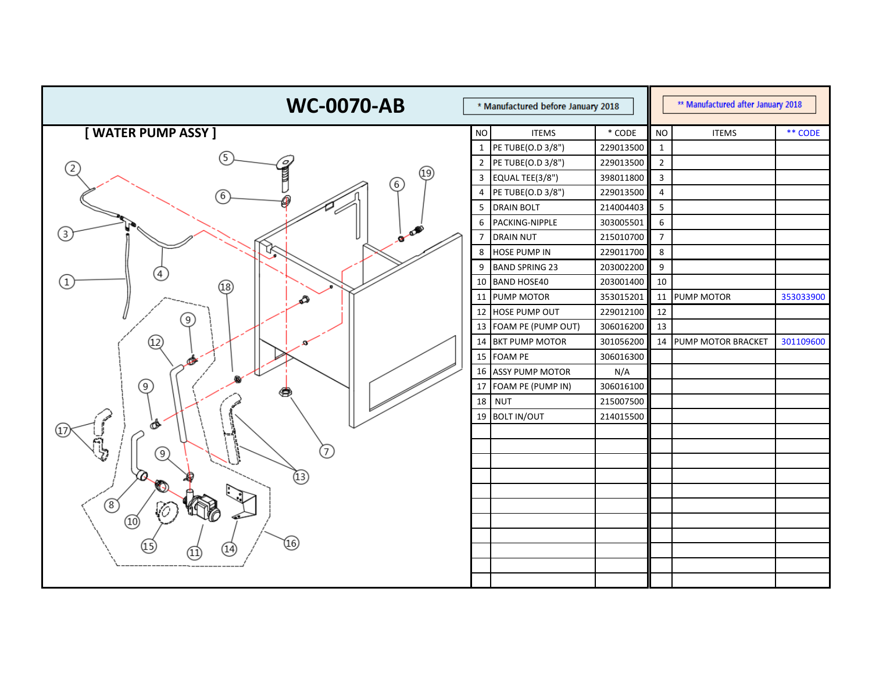| <b>WC-0070-AB</b><br>* Manufactured before January 2018 |                | ** Manufactured after January 2018 |           |                |                           |           |
|---------------------------------------------------------|----------------|------------------------------------|-----------|----------------|---------------------------|-----------|
| [WATER PUMP ASSY]                                       | <b>NO</b>      | <b>ITEMS</b>                       | $*$ CODE  | <b>NO</b>      | <b>ITEMS</b>              | ** CODE   |
|                                                         | $\mathbf{1}$   | PE TUBE(O.D 3/8")                  | 229013500 | 1              |                           |           |
| $\left( 2\right)$                                       | $\overline{2}$ | PE TUBE(O.D 3/8")                  | 229013500 | $\overline{2}$ |                           |           |
| (19)<br>(6)                                             | $\mathbf{3}$   | EQUAL TEE(3/8")                    | 398011800 | $\mathbf{3}$   |                           |           |
| 6                                                       | $\overline{4}$ | PE TUBE(O.D 3/8")                  | 229013500 | 4              |                           |           |
|                                                         | 5              | <b>DRAIN BOLT</b>                  | 214004403 | 5              |                           |           |
| A                                                       | 6              | PACKING-NIPPLE                     | 303005501 | 6              |                           |           |
| (3)                                                     |                | <b>DRAIN NUT</b>                   | 215010700 | $\overline{7}$ |                           |           |
|                                                         | 8              | <b>HOSE PUMP IN</b>                | 229011700 | 8              |                           |           |
|                                                         | 9              | <b>BAND SPRING 23</b>              | 203002200 | 9              |                           |           |
| $\mathbf{1}$<br>(18)                                    | 10             | <b>BAND HOSE40</b>                 | 203001400 | 10             |                           |           |
| ∌                                                       | 11             | <b>PUMP MOTOR</b>                  | 353015201 |                | 11 PUMP MOTOR             | 353033900 |
| 9)                                                      | 12             | <b>HOSE PUMP OUT</b>               | 229012100 | 12             |                           |           |
|                                                         |                | 13 FOAM PE (PUMP OUT)              | 306016200 | 13             |                           |           |
| ④                                                       | 14             | <b>BKT PUMP MOTOR</b>              | 301056200 | 14             | <b>PUMP MOTOR BRACKET</b> | 301109600 |
| محتكلا                                                  | 15             | <b>FOAM PE</b>                     | 306016300 |                |                           |           |
|                                                         |                | 16 ASSY PUMP MOTOR                 | N/A       |                |                           |           |
| ⊚                                                       | 17             | FOAM PE (PUMP IN)                  | 306016100 |                |                           |           |
|                                                         | 18             | <b>NUT</b>                         | 215007500 |                |                           |           |
|                                                         |                | 19 BOLT IN/OUT                     | 214015500 |                |                           |           |
|                                                         |                |                                    |           |                |                           |           |
| 7<br>$\left(9\right)$                                   |                |                                    |           |                |                           |           |
|                                                         |                |                                    |           |                |                           |           |
| $\sigma$<br>$\left( 13\right)$<br>Ø                     |                |                                    |           |                |                           |           |
|                                                         |                |                                    |           |                |                           |           |
| ൫<br>rx.<br><b>TILTY</b>                                |                |                                    |           |                |                           |           |
|                                                         |                |                                    |           |                |                           |           |
| (16)                                                    |                |                                    |           |                |                           |           |
| 14)                                                     |                |                                    |           |                |                           |           |
|                                                         |                |                                    |           |                |                           |           |
|                                                         |                |                                    |           |                |                           |           |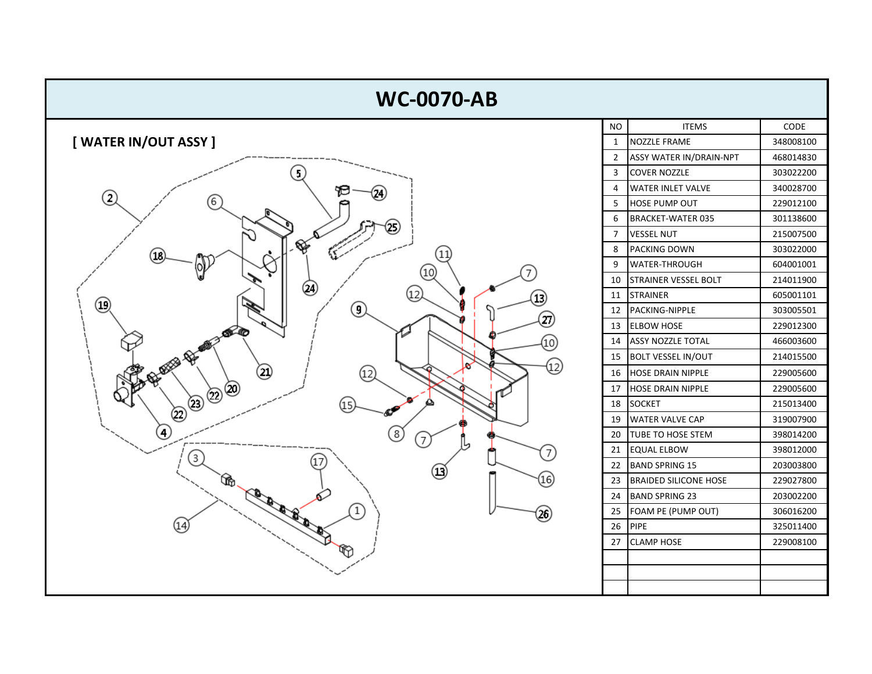![](_page_5_Figure_0.jpeg)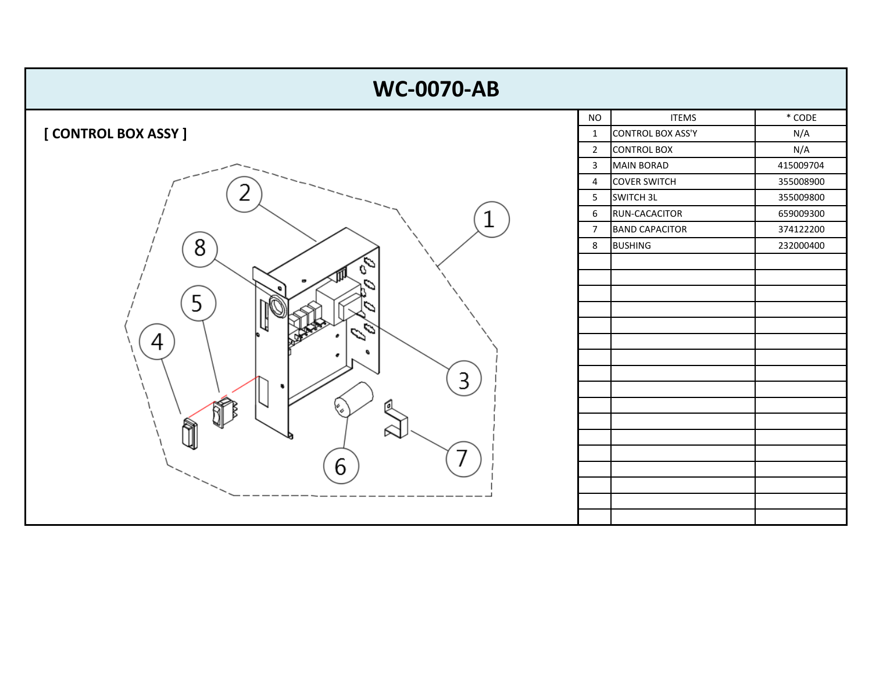![](_page_6_Figure_0.jpeg)